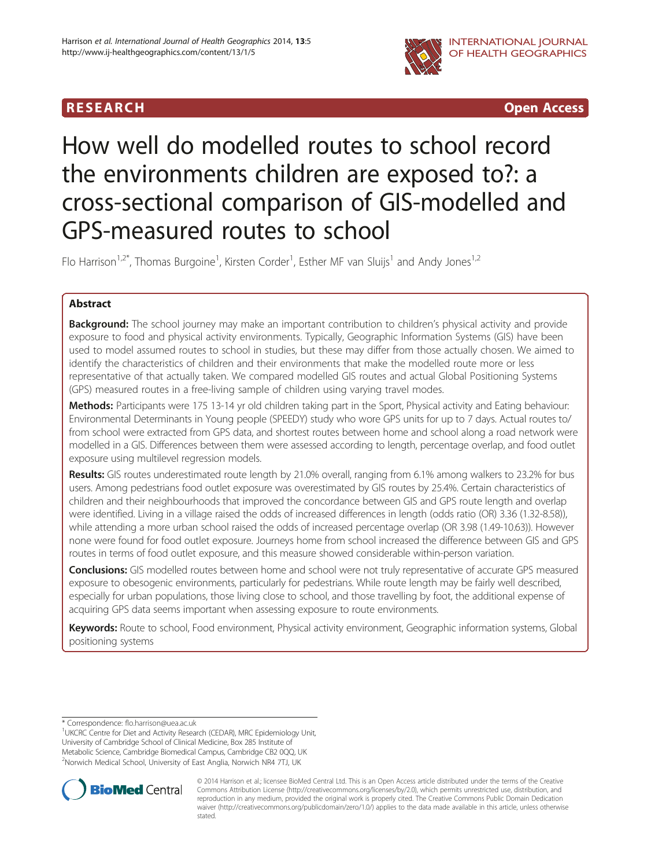# INTERNATIONAL JOURNAL OF HEALTH GEOGRAPHICS

# **RESEARCH CHINESE ARCH CHINESE ARCH CHINESE ARCH <b>CHINESE ARCH CHINESE ARCH CHINESE ARCH <b>CHINESE** ARCH **CHINESE ARCH** CHINESE ARCH **CHINESE ARCH 2014**

# How well do modelled routes to school record the environments children are exposed to?: a cross-sectional comparison of GIS-modelled and GPS-measured routes to school

Flo Harrison<sup>1,2\*</sup>, Thomas Burgoine<sup>1</sup>, Kirsten Corder<sup>1</sup>, Esther MF van Sluijs<sup>1</sup> and Andy Jones<sup>1,2</sup>

## Abstract

**Background:** The school journey may make an important contribution to children's physical activity and provide exposure to food and physical activity environments. Typically, Geographic Information Systems (GIS) have been used to model assumed routes to school in studies, but these may differ from those actually chosen. We aimed to identify the characteristics of children and their environments that make the modelled route more or less representative of that actually taken. We compared modelled GIS routes and actual Global Positioning Systems (GPS) measured routes in a free-living sample of children using varying travel modes.

Methods: Participants were 175 13-14 yr old children taking part in the Sport, Physical activity and Eating behaviour: Environmental Determinants in Young people (SPEEDY) study who wore GPS units for up to 7 days. Actual routes to/ from school were extracted from GPS data, and shortest routes between home and school along a road network were modelled in a GIS. Differences between them were assessed according to length, percentage overlap, and food outlet exposure using multilevel regression models.

Results: GIS routes underestimated route length by 21.0% overall, ranging from 6.1% among walkers to 23.2% for bus users. Among pedestrians food outlet exposure was overestimated by GIS routes by 25.4%. Certain characteristics of children and their neighbourhoods that improved the concordance between GIS and GPS route length and overlap were identified. Living in a village raised the odds of increased differences in length (odds ratio (OR) 3.36 (1.32-8.58)), while attending a more urban school raised the odds of increased percentage overlap (OR 3.98 (1.49-10.63)). However none were found for food outlet exposure. Journeys home from school increased the difference between GIS and GPS routes in terms of food outlet exposure, and this measure showed considerable within-person variation.

**Conclusions:** GIS modelled routes between home and school were not truly representative of accurate GPS measured exposure to obesogenic environments, particularly for pedestrians. While route length may be fairly well described, especially for urban populations, those living close to school, and those travelling by foot, the additional expense of acquiring GPS data seems important when assessing exposure to route environments.

Keywords: Route to school, Food environment, Physical activity environment, Geographic information systems, Global positioning systems

\* Correspondence: [flo.harrison@uea.ac.uk](mailto:flo.harrison@uea.ac.uk) <sup>1</sup>

<sup>1</sup> UKCRC Centre for Diet and Activity Research (CEDAR), MRC Epidemiology Unit, University of Cambridge School of Clinical Medicine, Box 285 Institute of Metabolic Science, Cambridge Biomedical Campus, Cambridge CB2 0QQ, UK <sup>2</sup>Norwich Medical School, University of East Anglia, Norwich NR4 7TJ, UK



© 2014 Harrison et al.; licensee BioMed Central Ltd. This is an Open Access article distributed under the terms of the Creative Commons Attribution License [\(http://creativecommons.org/licenses/by/2.0\)](http://creativecommons.org/licenses/by/2.0), which permits unrestricted use, distribution, and reproduction in any medium, provided the original work is properly cited. The Creative Commons Public Domain Dedication waiver [\(http://creativecommons.org/publicdomain/zero/1.0/\)](http://creativecommons.org/publicdomain/zero/1.0/) applies to the data made available in this article, unless otherwise stated.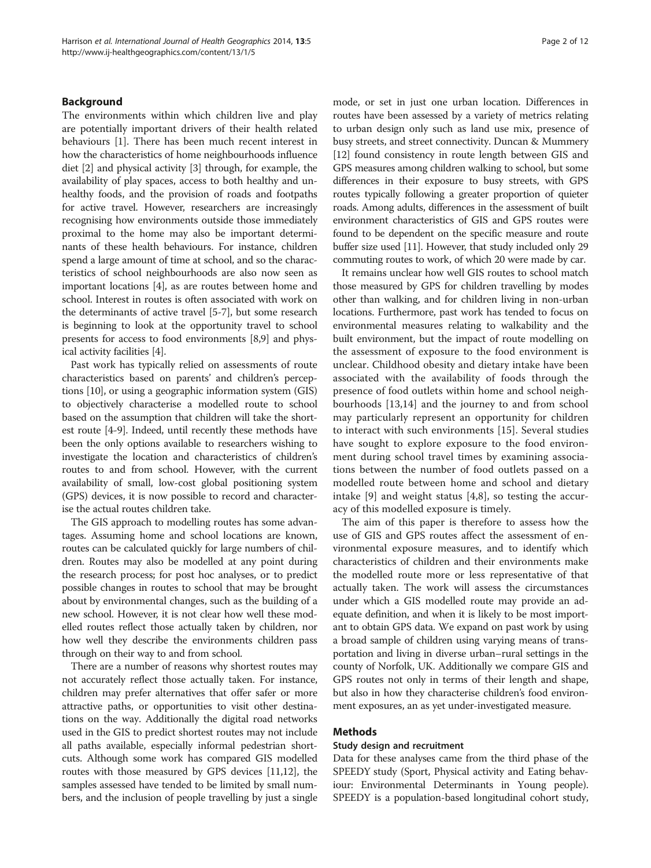#### Background

The environments within which children live and play are potentially important drivers of their health related behaviours [[1\]](#page-10-0). There has been much recent interest in how the characteristics of home neighbourhoods influence diet [[2\]](#page-10-0) and physical activity [[3](#page-10-0)] through, for example, the availability of play spaces, access to both healthy and unhealthy foods, and the provision of roads and footpaths for active travel. However, researchers are increasingly recognising how environments outside those immediately proximal to the home may also be important determinants of these health behaviours. For instance, children spend a large amount of time at school, and so the characteristics of school neighbourhoods are also now seen as important locations [[4\]](#page-10-0), as are routes between home and school. Interest in routes is often associated with work on the determinants of active travel [\[5](#page-10-0)-[7\]](#page-10-0), but some research is beginning to look at the opportunity travel to school presents for access to food environments [[8,9](#page-11-0)] and physical activity facilities [\[4\]](#page-10-0).

Past work has typically relied on assessments of route characteristics based on parents' and children's perceptions [\[10\]](#page-11-0), or using a geographic information system (GIS) to objectively characterise a modelled route to school based on the assumption that children will take the shortest route [[4-](#page-10-0)[9](#page-11-0)]. Indeed, until recently these methods have been the only options available to researchers wishing to investigate the location and characteristics of children's routes to and from school. However, with the current availability of small, low-cost global positioning system (GPS) devices, it is now possible to record and characterise the actual routes children take.

The GIS approach to modelling routes has some advantages. Assuming home and school locations are known, routes can be calculated quickly for large numbers of children. Routes may also be modelled at any point during the research process; for post hoc analyses, or to predict possible changes in routes to school that may be brought about by environmental changes, such as the building of a new school. However, it is not clear how well these modelled routes reflect those actually taken by children, nor how well they describe the environments children pass through on their way to and from school.

There are a number of reasons why shortest routes may not accurately reflect those actually taken. For instance, children may prefer alternatives that offer safer or more attractive paths, or opportunities to visit other destinations on the way. Additionally the digital road networks used in the GIS to predict shortest routes may not include all paths available, especially informal pedestrian shortcuts. Although some work has compared GIS modelled routes with those measured by GPS devices [\[11,12](#page-11-0)], the samples assessed have tended to be limited by small numbers, and the inclusion of people travelling by just a single mode, or set in just one urban location. Differences in routes have been assessed by a variety of metrics relating to urban design only such as land use mix, presence of busy streets, and street connectivity. Duncan & Mummery [[12](#page-11-0)] found consistency in route length between GIS and GPS measures among children walking to school, but some differences in their exposure to busy streets, with GPS routes typically following a greater proportion of quieter roads. Among adults, differences in the assessment of built environment characteristics of GIS and GPS routes were found to be dependent on the specific measure and route buffer size used [\[11\]](#page-11-0). However, that study included only 29 commuting routes to work, of which 20 were made by car.

It remains unclear how well GIS routes to school match those measured by GPS for children travelling by modes other than walking, and for children living in non-urban locations. Furthermore, past work has tended to focus on environmental measures relating to walkability and the built environment, but the impact of route modelling on the assessment of exposure to the food environment is unclear. Childhood obesity and dietary intake have been associated with the availability of foods through the presence of food outlets within home and school neighbourhoods [\[13](#page-11-0),[14\]](#page-11-0) and the journey to and from school may particularly represent an opportunity for children to interact with such environments [\[15](#page-11-0)]. Several studies have sought to explore exposure to the food environment during school travel times by examining associations between the number of food outlets passed on a modelled route between home and school and dietary intake [[9](#page-11-0)] and weight status [\[4](#page-10-0)[,8](#page-11-0)], so testing the accuracy of this modelled exposure is timely.

The aim of this paper is therefore to assess how the use of GIS and GPS routes affect the assessment of environmental exposure measures, and to identify which characteristics of children and their environments make the modelled route more or less representative of that actually taken. The work will assess the circumstances under which a GIS modelled route may provide an adequate definition, and when it is likely to be most important to obtain GPS data. We expand on past work by using a broad sample of children using varying means of transportation and living in diverse urban–rural settings in the county of Norfolk, UK. Additionally we compare GIS and GPS routes not only in terms of their length and shape, but also in how they characterise children's food environment exposures, an as yet under-investigated measure.

#### Methods

#### Study design and recruitment

Data for these analyses came from the third phase of the SPEEDY study (Sport, Physical activity and Eating behaviour: Environmental Determinants in Young people). SPEEDY is a population-based longitudinal cohort study,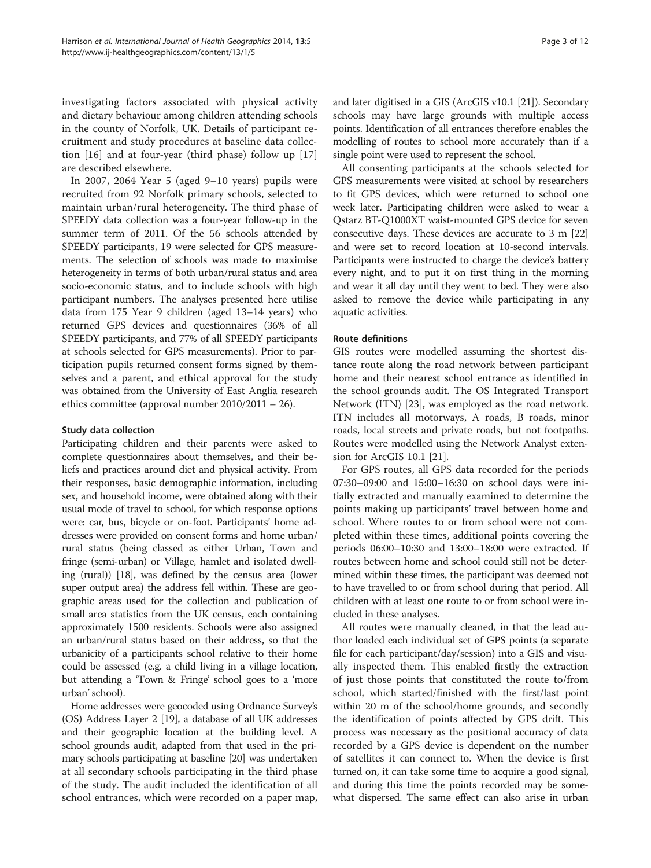investigating factors associated with physical activity and dietary behaviour among children attending schools in the county of Norfolk, UK. Details of participant recruitment and study procedures at baseline data collection [[16\]](#page-11-0) and at four-year (third phase) follow up [\[17](#page-11-0)] are described elsewhere.

In 2007, 2064 Year 5 (aged 9–10 years) pupils were recruited from 92 Norfolk primary schools, selected to maintain urban/rural heterogeneity. The third phase of SPEEDY data collection was a four-year follow-up in the summer term of 2011. Of the 56 schools attended by SPEEDY participants, 19 were selected for GPS measurements. The selection of schools was made to maximise heterogeneity in terms of both urban/rural status and area socio-economic status, and to include schools with high participant numbers. The analyses presented here utilise data from 175 Year 9 children (aged 13–14 years) who returned GPS devices and questionnaires (36% of all SPEEDY participants, and 77% of all SPEEDY participants at schools selected for GPS measurements). Prior to participation pupils returned consent forms signed by themselves and a parent, and ethical approval for the study was obtained from the University of East Anglia research ethics committee (approval number 2010/2011 – 26).

#### Study data collection

Participating children and their parents were asked to complete questionnaires about themselves, and their beliefs and practices around diet and physical activity. From their responses, basic demographic information, including sex, and household income, were obtained along with their usual mode of travel to school, for which response options were: car, bus, bicycle or on-foot. Participants' home addresses were provided on consent forms and home urban/ rural status (being classed as either Urban, Town and fringe (semi-urban) or Village, hamlet and isolated dwelling (rural)) [[18](#page-11-0)], was defined by the census area (lower super output area) the address fell within. These are geographic areas used for the collection and publication of small area statistics from the UK census, each containing approximately 1500 residents. Schools were also assigned an urban/rural status based on their address, so that the urbanicity of a participants school relative to their home could be assessed (e.g. a child living in a village location, but attending a 'Town & Fringe' school goes to a 'more urban' school).

Home addresses were geocoded using Ordnance Survey's (OS) Address Layer 2 [\[19\]](#page-11-0), a database of all UK addresses and their geographic location at the building level. A school grounds audit, adapted from that used in the primary schools participating at baseline [\[20\]](#page-11-0) was undertaken at all secondary schools participating in the third phase of the study. The audit included the identification of all school entrances, which were recorded on a paper map, and later digitised in a GIS (ArcGIS v10.1 [[21](#page-11-0)]). Secondary schools may have large grounds with multiple access points. Identification of all entrances therefore enables the modelling of routes to school more accurately than if a single point were used to represent the school.

All consenting participants at the schools selected for GPS measurements were visited at school by researchers to fit GPS devices, which were returned to school one week later. Participating children were asked to wear a Qstarz BT-Q1000XT waist-mounted GPS device for seven consecutive days. These devices are accurate to 3 m [[22](#page-11-0)] and were set to record location at 10-second intervals. Participants were instructed to charge the device's battery every night, and to put it on first thing in the morning and wear it all day until they went to bed. They were also asked to remove the device while participating in any aquatic activities.

#### Route definitions

GIS routes were modelled assuming the shortest distance route along the road network between participant home and their nearest school entrance as identified in the school grounds audit. The OS Integrated Transport Network (ITN) [[23\]](#page-11-0), was employed as the road network. ITN includes all motorways, A roads, B roads, minor roads, local streets and private roads, but not footpaths. Routes were modelled using the Network Analyst extension for ArcGIS 10.1 [[21](#page-11-0)].

For GPS routes, all GPS data recorded for the periods 07:30–09:00 and 15:00–16:30 on school days were initially extracted and manually examined to determine the points making up participants' travel between home and school. Where routes to or from school were not completed within these times, additional points covering the periods 06:00–10:30 and 13:00–18:00 were extracted. If routes between home and school could still not be determined within these times, the participant was deemed not to have travelled to or from school during that period. All children with at least one route to or from school were included in these analyses.

All routes were manually cleaned, in that the lead author loaded each individual set of GPS points (a separate file for each participant/day/session) into a GIS and visually inspected them. This enabled firstly the extraction of just those points that constituted the route to/from school, which started/finished with the first/last point within 20 m of the school/home grounds, and secondly the identification of points affected by GPS drift. This process was necessary as the positional accuracy of data recorded by a GPS device is dependent on the number of satellites it can connect to. When the device is first turned on, it can take some time to acquire a good signal, and during this time the points recorded may be somewhat dispersed. The same effect can also arise in urban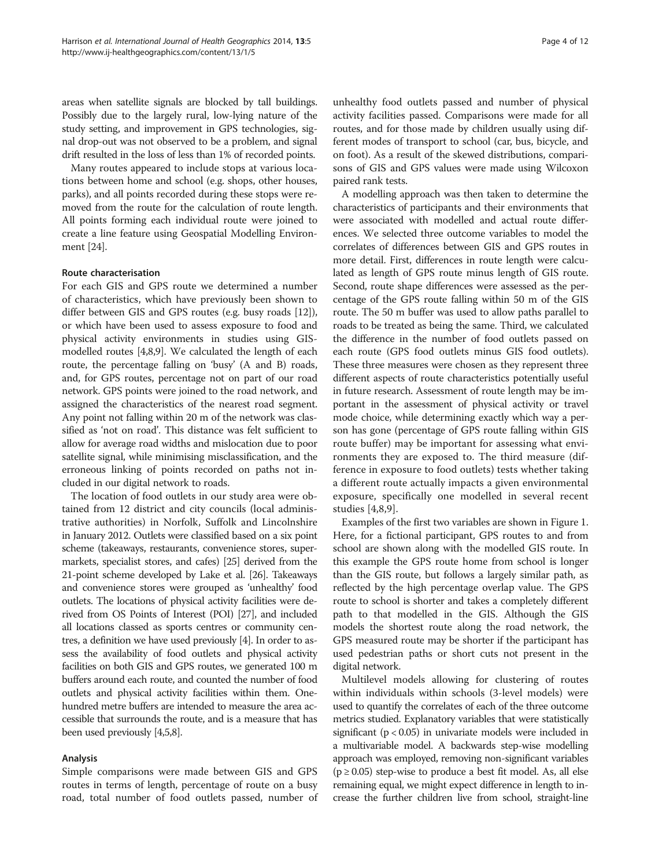areas when satellite signals are blocked by tall buildings. Possibly due to the largely rural, low-lying nature of the study setting, and improvement in GPS technologies, signal drop-out was not observed to be a problem, and signal drift resulted in the loss of less than 1% of recorded points.

Many routes appeared to include stops at various locations between home and school (e.g. shops, other houses, parks), and all points recorded during these stops were removed from the route for the calculation of route length. All points forming each individual route were joined to create a line feature using Geospatial Modelling Environment [\[24\]](#page-11-0).

#### Route characterisation

For each GIS and GPS route we determined a number of characteristics, which have previously been shown to differ between GIS and GPS routes (e.g. busy roads [[12](#page-11-0)]), or which have been used to assess exposure to food and physical activity environments in studies using GISmodelled routes [\[4](#page-10-0)[,8,9](#page-11-0)]. We calculated the length of each route, the percentage falling on 'busy' (A and B) roads, and, for GPS routes, percentage not on part of our road network. GPS points were joined to the road network, and assigned the characteristics of the nearest road segment. Any point not falling within 20 m of the network was classified as 'not on road'. This distance was felt sufficient to allow for average road widths and mislocation due to poor satellite signal, while minimising misclassification, and the erroneous linking of points recorded on paths not included in our digital network to roads.

The location of food outlets in our study area were obtained from 12 district and city councils (local administrative authorities) in Norfolk, Suffolk and Lincolnshire in January 2012. Outlets were classified based on a six point scheme (takeaways, restaurants, convenience stores, supermarkets, specialist stores, and cafes) [\[25\]](#page-11-0) derived from the 21-point scheme developed by Lake et al. [\[26](#page-11-0)]. Takeaways and convenience stores were grouped as 'unhealthy' food outlets. The locations of physical activity facilities were derived from OS Points of Interest (POI) [\[27\]](#page-11-0), and included all locations classed as sports centres or community centres, a definition we have used previously [\[4](#page-10-0)]. In order to assess the availability of food outlets and physical activity facilities on both GIS and GPS routes, we generated 100 m buffers around each route, and counted the number of food outlets and physical activity facilities within them. Onehundred metre buffers are intended to measure the area accessible that surrounds the route, and is a measure that has been used previously [\[4,5](#page-10-0)[,8\]](#page-11-0).

#### Analysis

Simple comparisons were made between GIS and GPS routes in terms of length, percentage of route on a busy road, total number of food outlets passed, number of unhealthy food outlets passed and number of physical activity facilities passed. Comparisons were made for all routes, and for those made by children usually using different modes of transport to school (car, bus, bicycle, and on foot). As a result of the skewed distributions, comparisons of GIS and GPS values were made using Wilcoxon paired rank tests.

A modelling approach was then taken to determine the characteristics of participants and their environments that were associated with modelled and actual route differences. We selected three outcome variables to model the correlates of differences between GIS and GPS routes in more detail. First, differences in route length were calculated as length of GPS route minus length of GIS route. Second, route shape differences were assessed as the percentage of the GPS route falling within 50 m of the GIS route. The 50 m buffer was used to allow paths parallel to roads to be treated as being the same. Third, we calculated the difference in the number of food outlets passed on each route (GPS food outlets minus GIS food outlets). These three measures were chosen as they represent three different aspects of route characteristics potentially useful in future research. Assessment of route length may be important in the assessment of physical activity or travel mode choice, while determining exactly which way a person has gone (percentage of GPS route falling within GIS route buffer) may be important for assessing what environments they are exposed to. The third measure (difference in exposure to food outlets) tests whether taking a different route actually impacts a given environmental exposure, specifically one modelled in several recent studies [\[4](#page-10-0),[8,9\]](#page-11-0).

Examples of the first two variables are shown in Figure [1](#page-4-0). Here, for a fictional participant, GPS routes to and from school are shown along with the modelled GIS route. In this example the GPS route home from school is longer than the GIS route, but follows a largely similar path, as reflected by the high percentage overlap value. The GPS route to school is shorter and takes a completely different path to that modelled in the GIS. Although the GIS models the shortest route along the road network, the GPS measured route may be shorter if the participant has used pedestrian paths or short cuts not present in the digital network.

Multilevel models allowing for clustering of routes within individuals within schools (3-level models) were used to quantify the correlates of each of the three outcome metrics studied. Explanatory variables that were statistically significant ( $p < 0.05$ ) in univariate models were included in a multivariable model. A backwards step-wise modelling approach was employed, removing non-significant variables  $(p \ge 0.05)$  step-wise to produce a best fit model. As, all else remaining equal, we might expect difference in length to increase the further children live from school, straight-line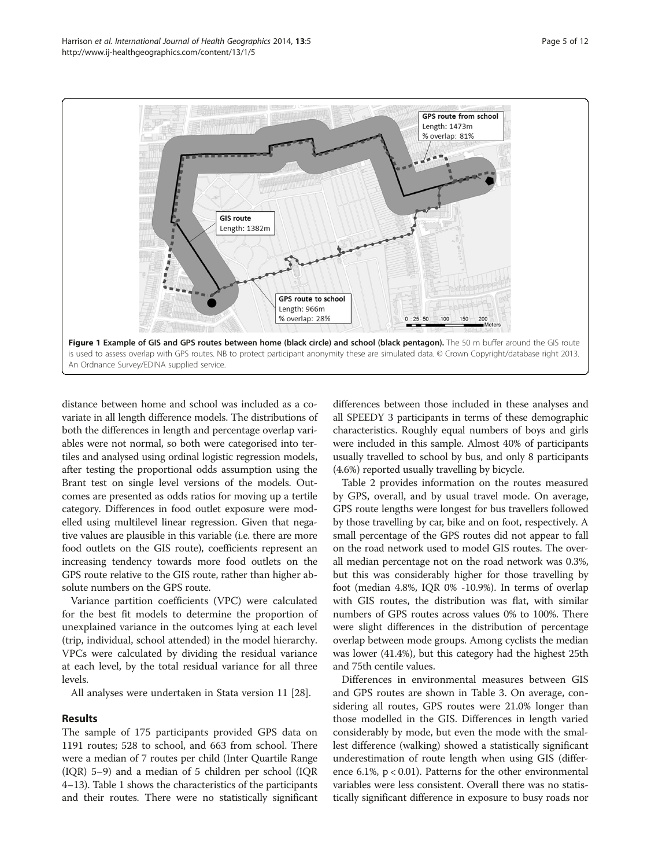<span id="page-4-0"></span>

distance between home and school was included as a covariate in all length difference models. The distributions of both the differences in length and percentage overlap variables were not normal, so both were categorised into tertiles and analysed using ordinal logistic regression models, after testing the proportional odds assumption using the Brant test on single level versions of the models. Outcomes are presented as odds ratios for moving up a tertile category. Differences in food outlet exposure were modelled using multilevel linear regression. Given that negative values are plausible in this variable (i.e. there are more food outlets on the GIS route), coefficients represent an increasing tendency towards more food outlets on the GPS route relative to the GIS route, rather than higher absolute numbers on the GPS route.

Variance partition coefficients (VPC) were calculated for the best fit models to determine the proportion of unexplained variance in the outcomes lying at each level (trip, individual, school attended) in the model hierarchy. VPCs were calculated by dividing the residual variance at each level, by the total residual variance for all three levels.

All analyses were undertaken in Stata version 11 [[28](#page-11-0)].

#### Results

The sample of 175 participants provided GPS data on 1191 routes; 528 to school, and 663 from school. There were a median of 7 routes per child (Inter Quartile Range (IQR) 5–9) and a median of 5 children per school (IQR 4–13). Table [1](#page-5-0) shows the characteristics of the participants and their routes. There were no statistically significant

differences between those included in these analyses and all SPEEDY 3 participants in terms of these demographic characteristics. Roughly equal numbers of boys and girls were included in this sample. Almost 40% of participants usually travelled to school by bus, and only 8 participants (4.6%) reported usually travelling by bicycle.

Table [2](#page-6-0) provides information on the routes measured by GPS, overall, and by usual travel mode. On average, GPS route lengths were longest for bus travellers followed by those travelling by car, bike and on foot, respectively. A small percentage of the GPS routes did not appear to fall on the road network used to model GIS routes. The overall median percentage not on the road network was 0.3%, but this was considerably higher for those travelling by foot (median 4.8%, IQR 0% -10.9%). In terms of overlap with GIS routes, the distribution was flat, with similar numbers of GPS routes across values 0% to 100%. There were slight differences in the distribution of percentage overlap between mode groups. Among cyclists the median was lower (41.4%), but this category had the highest 25th and 75th centile values.

Differences in environmental measures between GIS and GPS routes are shown in Table [3.](#page-7-0) On average, considering all routes, GPS routes were 21.0% longer than those modelled in the GIS. Differences in length varied considerably by mode, but even the mode with the smallest difference (walking) showed a statistically significant underestimation of route length when using GIS (difference 6.1%,  $p < 0.01$ ). Patterns for the other environmental variables were less consistent. Overall there was no statistically significant difference in exposure to busy roads nor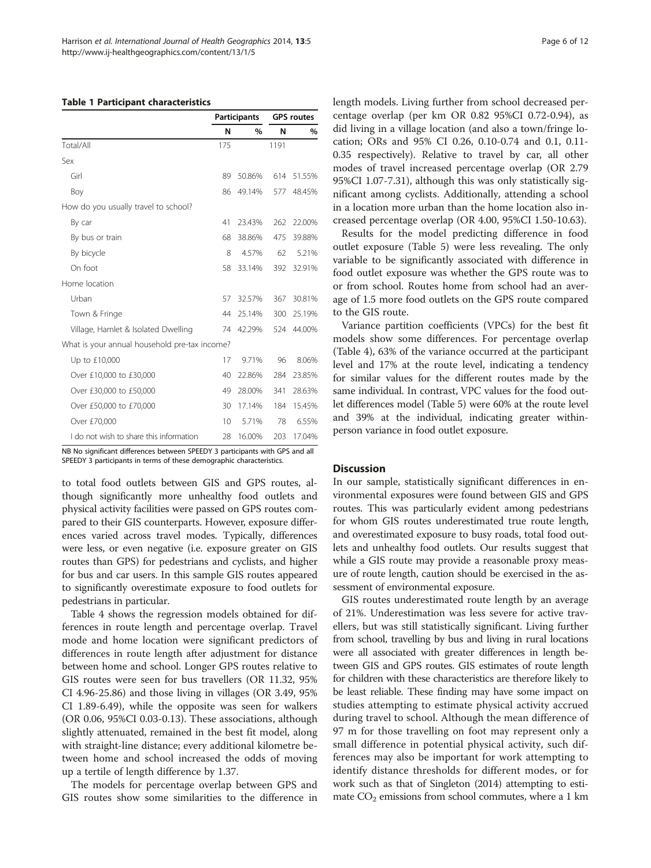#### <span id="page-5-0"></span>Table 1 Participant characteristics

|                                               |     | Participants  |      | <b>GPS routes</b> |
|-----------------------------------------------|-----|---------------|------|-------------------|
|                                               | N   | $\frac{0}{0}$ | N    | $\%$              |
| Total/All                                     | 175 |               | 1191 |                   |
| Sex                                           |     |               |      |                   |
| Girl                                          | 89  | 50.86%        | 614  | 51.55%            |
| Boy                                           | 86  | 49.14%        | 577  | 48.45%            |
| How do you usually travel to school?          |     |               |      |                   |
| By car                                        | 41  | 23.43%        | 262  | 22.00%            |
| By bus or train                               | 68  | 38.86%        | 475  | 39.88%            |
| By bicycle                                    | 8   | 4.57%         | 62   | 5.21%             |
| On foot                                       | 58  | 33.14%        | 392  | 32.91%            |
| Home location                                 |     |               |      |                   |
| Urban                                         | 57  | 32.57%        | 367  | 30.81%            |
| Town & Fringe                                 | 44  | 25.14%        | 300  | 25.19%            |
| Village, Hamlet & Isolated Dwelling           | 74  | 42.29%        | 524  | 44.00%            |
| What is your annual household pre-tax income? |     |               |      |                   |
| Up to £10,000                                 | 17  | 9.71%         | 96   | 8.06%             |
| Over £10,000 to £30,000                       | 40  | 22.86%        | 284  | 23.85%            |
| Over £30,000 to £50,000                       | 49  | 28.00%        | 341  | 28.63%            |
| Over £50,000 to £70,000                       | 30  | 17.14%        | 184  | 15.45%            |
| Over £70,000                                  | 10  | 5.71%         | 78   | 6.55%             |
| I do not wish to share this information       | 28  | 16.00%        | 203  | 17.04%            |

NB No significant differences between SPEEDY 3 participants with GPS and all SPEEDY 3 participants in terms of these demographic characteristics.

to total food outlets between GIS and GPS routes, although significantly more unhealthy food outlets and physical activity facilities were passed on GPS routes compared to their GIS counterparts. However, exposure differences varied across travel modes. Typically, differences were less, or even negative (i.e. exposure greater on GIS routes than GPS) for pedestrians and cyclists, and higher for bus and car users. In this sample GIS routes appeared to significantly overestimate exposure to food outlets for pedestrians in particular.

Table [4](#page-8-0) shows the regression models obtained for differences in route length and percentage overlap. Travel mode and home location were significant predictors of differences in route length after adjustment for distance between home and school. Longer GPS routes relative to GIS routes were seen for bus travellers (OR 11.32, 95% CI 4.96-25.86) and those living in villages (OR 3.49, 95% CI 1.89-6.49), while the opposite was seen for walkers (OR 0.06, 95%CI 0.03-0.13). These associations, although slightly attenuated, remained in the best fit model, along with straight-line distance; every additional kilometre between home and school increased the odds of moving up a tertile of length difference by 1.37.

The models for percentage overlap between GPS and GIS routes show some similarities to the difference in length models. Living further from school decreased percentage overlap (per km OR 0.82 95%CI 0.72-0.94), as did living in a village location (and also a town/fringe location; ORs and 95% CI 0.26, 0.10-0.74 and 0.1, 0.11- 0.35 respectively). Relative to travel by car, all other modes of travel increased percentage overlap (OR 2.79 95%CI 1.07-7.31), although this was only statistically significant among cyclists. Additionally, attending a school in a location more urban than the home location also increased percentage overlap (OR 4.00, 95%CI 1.50-10.63).

Results for the model predicting difference in food outlet exposure (Table [5](#page-9-0)) were less revealing. The only variable to be significantly associated with difference in food outlet exposure was whether the GPS route was to or from school. Routes home from school had an average of 1.5 more food outlets on the GPS route compared to the GIS route.

Variance partition coefficients (VPCs) for the best fit models show some differences. For percentage overlap (Table [4\)](#page-8-0), 63% of the variance occurred at the participant level and 17% at the route level, indicating a tendency for similar values for the different routes made by the same individual. In contrast, VPC values for the food outlet differences model (Table [5\)](#page-9-0) were 60% at the route level and 39% at the individual, indicating greater withinperson variance in food outlet exposure.

#### **Discussion**

In our sample, statistically significant differences in environmental exposures were found between GIS and GPS routes. This was particularly evident among pedestrians for whom GIS routes underestimated true route length, and overestimated exposure to busy roads, total food outlets and unhealthy food outlets. Our results suggest that while a GIS route may provide a reasonable proxy measure of route length, caution should be exercised in the assessment of environmental exposure.

GIS routes underestimated route length by an average of 21%. Underestimation was less severe for active travellers, but was still statistically significant. Living further from school, travelling by bus and living in rural locations were all associated with greater differences in length between GIS and GPS routes. GIS estimates of route length for children with these characteristics are therefore likely to be least reliable. These finding may have some impact on studies attempting to estimate physical activity accrued during travel to school. Although the mean difference of 97 m for those travelling on foot may represent only a small difference in potential physical activity, such differences may also be important for work attempting to identify distance thresholds for different modes, or for work such as that of Singleton (2014) attempting to estimate  $CO<sub>2</sub>$  emissions from school commutes, where a 1 km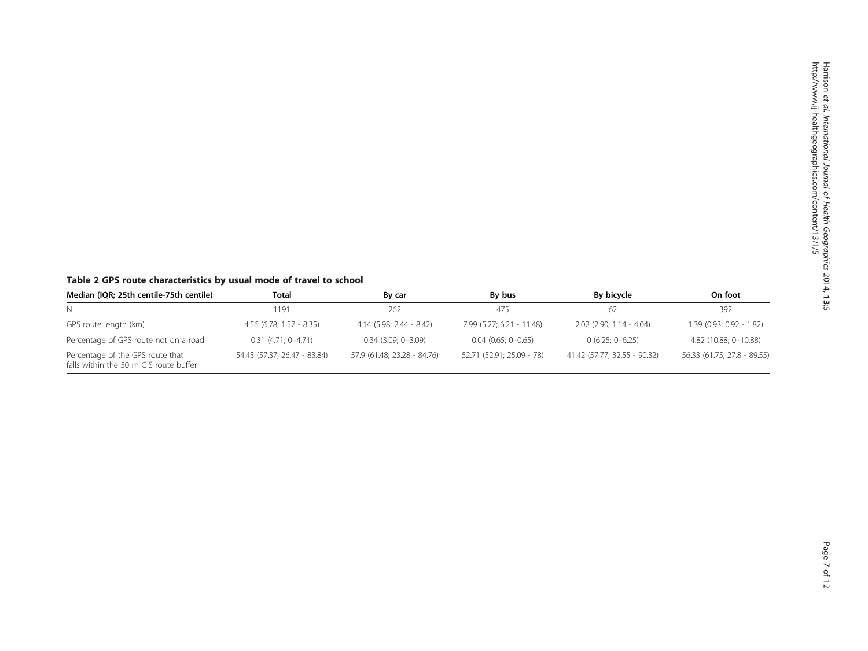### <span id="page-6-0"></span>Table 2 GPS route characteristics by usual mode of travel to school

| Median (IQR; 25th centile-75th centile)                                    | Total                        | By car                      | By bus                    | By bicycle                   | On foot                     |
|----------------------------------------------------------------------------|------------------------------|-----------------------------|---------------------------|------------------------------|-----------------------------|
|                                                                            | 191                          | 262                         | 475                       | 62                           | 392                         |
| GPS route length (km)                                                      | $4.56$ (6.78; 1.57 - 8.35)   | 4.14 (5.98; 2.44 - 8.42)    | 7.99 (5.27; 6.21 - 11.48) | $2.02$ (2.90; 1.14 - 4.04)   | $1.39(0.93; 0.92 - 1.82)$   |
| Percentage of GPS route not on a road                                      | $0.31(4.71; 0-4.71)$         | $0.34$ (3.09; 0-3.09)       | $0.04$ (0.65; 0-0.65)     | $0(6.25; 0 - 6.25)$          | 4.82 (10.88; 0-10.88)       |
| Percentage of the GPS route that<br>falls within the 50 m GIS route buffer | 54.43 (57.37; 26.47 - 83.84) | 57.9 (61.48; 23.28 - 84.76) | 52.71 (52.91; 25.09 - 78) | 41.42 (57.77; 32.55 - 90.32) | 56.33 (61.75; 27.8 - 89.55) |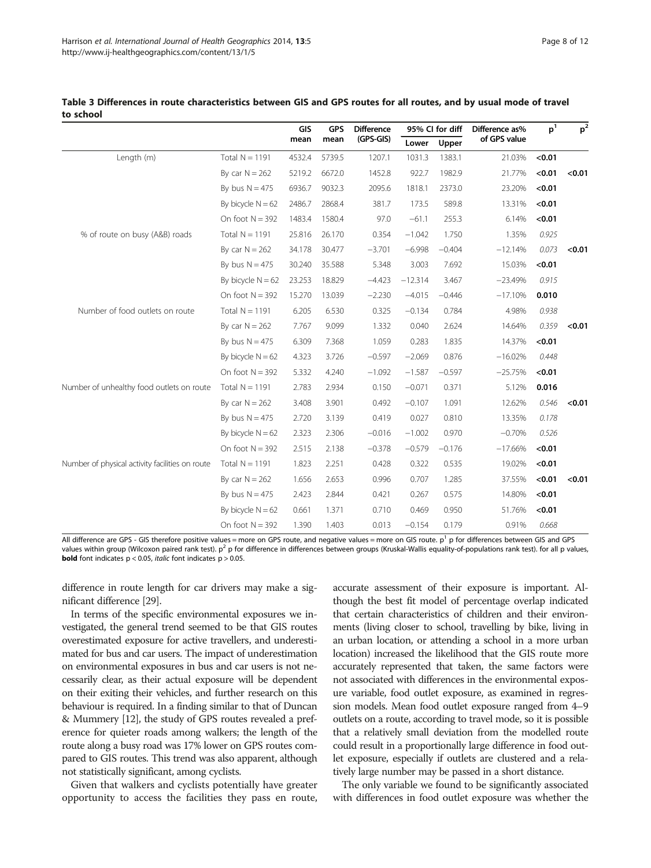|                                                 |                     | GIS    | <b>GPS</b> | <b>Difference</b> |           | Difference as%<br>95% CI for diff |              | p <sup>1</sup> | p <sup>2</sup> |
|-------------------------------------------------|---------------------|--------|------------|-------------------|-----------|-----------------------------------|--------------|----------------|----------------|
|                                                 |                     | mean   | mean       | (GPS-GIS)         | Lower     | Upper                             | of GPS value |                |                |
| Length (m)                                      | Total $N = 1191$    | 4532.4 | 5739.5     | 1207.1            | 1031.3    | 1383.1                            | 21.03%       | < 0.01         |                |
|                                                 | By car $N = 262$    | 5219.2 | 6672.0     | 1452.8            | 922.7     | 1982.9                            | 21.77%       | < 0.01         | < 0.01         |
|                                                 | By bus $N = 475$    | 6936.7 | 9032.3     | 2095.6            | 1818.1    | 2373.0                            | 23.20%       | < 0.01         |                |
|                                                 | By bicycle $N = 62$ | 2486.7 | 2868.4     | 381.7             | 173.5     | 589.8                             | 13.31%       | < 0.01         |                |
|                                                 | On foot $N = 392$   | 1483.4 | 1580.4     | 97.0              | $-61.1$   | 255.3                             | 6.14%        | < 0.01         |                |
| % of route on busy (A&B) roads                  | Total $N = 1191$    | 25.816 | 26.170     | 0.354             | $-1.042$  | 1.750                             | 1.35%        | 0.925          |                |
|                                                 | By car $N = 262$    | 34.178 | 30.477     | $-3.701$          | $-6.998$  | $-0.404$                          | $-12.14%$    | 0.073          | < 0.01         |
|                                                 | By bus $N = 475$    | 30.240 | 35.588     | 5.348             | 3.003     | 7.692                             | 15.03%       | < 0.01         |                |
|                                                 | By bicycle $N = 62$ | 23.253 | 18.829     | $-4.423$          | $-12.314$ | 3.467                             | $-23.49%$    | 0.915          |                |
|                                                 | On foot $N = 392$   | 15.270 | 13.039     | $-2.230$          | $-4.015$  | $-0.446$                          | $-17.10%$    | 0.010          |                |
| Number of food outlets on route                 | Total $N = 1191$    | 6.205  | 6.530      | 0.325             | $-0.134$  | 0.784                             | 4.98%        | 0.938          |                |
|                                                 | By car $N = 262$    | 7.767  | 9.099      | 1.332             | 0.040     | 2.624                             | 14.64%       | 0.359          | < 0.01         |
|                                                 | By bus $N = 475$    | 6.309  | 7.368      | 1.059             | 0.283     | 1.835                             | 14.37%       | < 0.01         |                |
|                                                 | By bicycle $N = 62$ | 4.323  | 3.726      | $-0.597$          | $-2.069$  | 0.876                             | $-16.02%$    | 0.448          |                |
|                                                 | On foot $N = 392$   | 5.332  | 4.240      | $-1.092$          | $-1.587$  | $-0.597$                          | $-25.75%$    | < 0.01         |                |
| Number of unhealthy food outlets on route       | Total $N = 1191$    | 2.783  | 2.934      | 0.150             | $-0.071$  | 0.371                             | 5.12%        | 0.016          |                |
|                                                 | By car $N = 262$    | 3.408  | 3.901      | 0.492             | $-0.107$  | 1.091                             | 12.62%       | 0.546          | < 0.01         |
|                                                 | By bus $N = 475$    | 2.720  | 3.139      | 0.419             | 0.027     | 0.810                             | 13.35%       | 0.178          |                |
|                                                 | By bicycle $N = 62$ | 2.323  | 2.306      | $-0.016$          | $-1.002$  | 0.970                             | $-0.70%$     | 0.526          |                |
|                                                 | On foot $N = 392$   | 2.515  | 2.138      | $-0.378$          | $-0.579$  | $-0.176$                          | $-17.66%$    | < 0.01         |                |
| Number of physical activity facilities on route | Total $N = 1191$    | 1.823  | 2.251      | 0.428             | 0.322     | 0.535                             | 19.02%       | < 0.01         |                |
|                                                 | By car $N = 262$    | 1.656  | 2.653      | 0.996             | 0.707     | 1.285                             | 37.55%       | < 0.01         | < 0.01         |
|                                                 | By bus $N = 475$    | 2.423  | 2.844      | 0.421             | 0.267     | 0.575                             | 14.80%       | < 0.01         |                |
|                                                 | By bicycle $N = 62$ | 0.661  | 1.371      | 0.710             | 0.469     | 0.950                             | 51.76%       | < 0.01         |                |
|                                                 | On foot $N = 392$   | 1.390  | 1.403      | 0.013             | $-0.154$  | 0.179                             | 0.91%        | 0.668          |                |

#### <span id="page-7-0"></span>Table 3 Differences in route characteristics between GIS and GPS routes for all routes, and by usual mode of travel to school

difference in route length for car drivers may make a significant difference [\[29\]](#page-11-0).

In terms of the specific environmental exposures we investigated, the general trend seemed to be that GIS routes overestimated exposure for active travellers, and underestimated for bus and car users. The impact of underestimation on environmental exposures in bus and car users is not necessarily clear, as their actual exposure will be dependent on their exiting their vehicles, and further research on this behaviour is required. In a finding similar to that of Duncan & Mummery [[12\]](#page-11-0), the study of GPS routes revealed a preference for quieter roads among walkers; the length of the route along a busy road was 17% lower on GPS routes compared to GIS routes. This trend was also apparent, although not statistically significant, among cyclists.

Given that walkers and cyclists potentially have greater opportunity to access the facilities they pass en route, accurate assessment of their exposure is important. Although the best fit model of percentage overlap indicated that certain characteristics of children and their environments (living closer to school, travelling by bike, living in an urban location, or attending a school in a more urban location) increased the likelihood that the GIS route more accurately represented that taken, the same factors were not associated with differences in the environmental exposure variable, food outlet exposure, as examined in regression models. Mean food outlet exposure ranged from 4–9 outlets on a route, according to travel mode, so it is possible that a relatively small deviation from the modelled route could result in a proportionally large difference in food outlet exposure, especially if outlets are clustered and a relatively large number may be passed in a short distance.

The only variable we found to be significantly associated with differences in food outlet exposure was whether the

All difference are GPS - GIS therefore positive values = more on GPS route, and negative values = more on GIS route.  $p^1$  p for differences between GIS and GPS values within group (Wilcoxon paired rank test).  $p^2$  p for difference in differences between groups (Kruskal-Wallis equality-of-populations rank test). for all p values, **bold** font indicates  $p < 0.05$ , *italic* font indicates  $p > 0.05$ .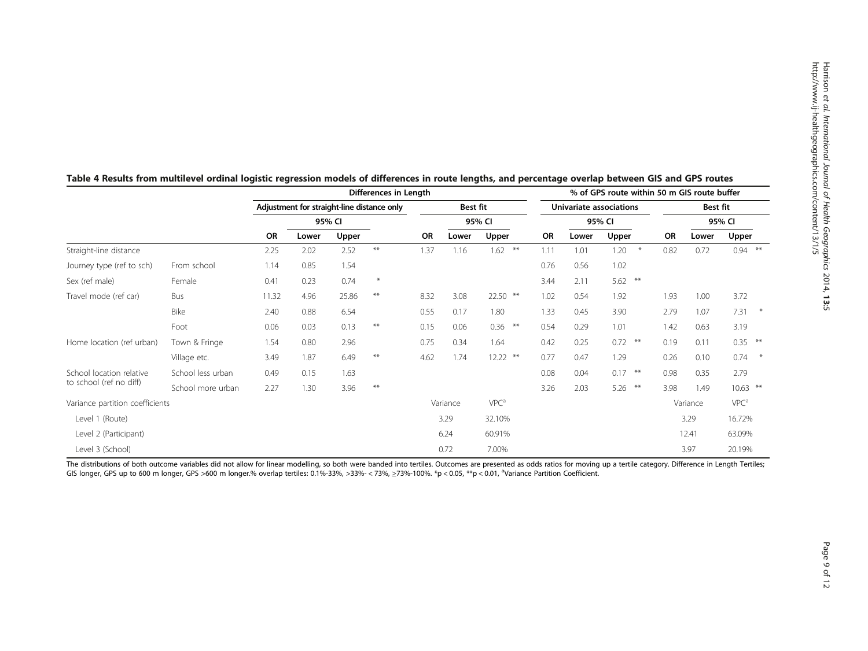|                                 |                   | Differences in Length                                         |        |       |                         |      |          | % of GPS route within 50 m GIS route buffer |           |        |               |        |      |          |                  |
|---------------------------------|-------------------|---------------------------------------------------------------|--------|-------|-------------------------|------|----------|---------------------------------------------|-----------|--------|---------------|--------|------|----------|------------------|
|                                 |                   | Adjustment for straight-line distance only<br><b>Best fit</b> |        |       | Univariate associations |      |          |                                             | Best fit  |        |               |        |      |          |                  |
|                                 |                   |                                                               | 95% CI |       |                         |      | 95% CI   |                                             |           | 95% CI |               |        |      | 95% CI   |                  |
|                                 |                   | OR                                                            | Lower  | Upper |                         | OR   | Lower    | Upper                                       | <b>OR</b> | Lower  | Upper         |        | OR   | Lower    | Upper            |
| Straight-line distance          |                   | 2.25                                                          | 2.02   | 2.52  | $***$                   | 1.37 | 1.16     | $1.62$ **                                   | 1.11      | 1.01   | 1.20          | $\ast$ | 0.82 | 0.72     | $0.94$ **        |
| Journey type (ref to sch)       | From school       | 1.14                                                          | 0.85   | 1.54  |                         |      |          |                                             | 0.76      | 0.56   | 1.02          |        |      |          |                  |
| Sex (ref male)                  | Female            | 0.41                                                          | 0.23   | 0.74  | $\ast$                  |      |          |                                             | 3.44      | 2.11   | $***$<br>5.62 |        |      |          |                  |
| Travel mode (ref car)           | Bus               | 11.32                                                         | 4.96   | 25.86 | $***$                   | 8.32 | 3.08     | 22.50 **                                    | 1.02      | 0.54   | 1.92          |        | 1.93 | 1.00     | 3.72             |
|                                 | Bike              | 2.40                                                          | 0.88   | 6.54  |                         | 0.55 | 0.17     | 1.80                                        | 1.33      | 0.45   | 3.90          |        | 2.79 | 1.07     | 7.31             |
|                                 | Foot              | 0.06                                                          | 0.03   | 0.13  | $* *$                   | 0.15 | 0.06     | $0.36$ **                                   | 0.54      | 0.29   | 1.01          |        | 1.42 | 0.63     | 3.19             |
| Home location (ref urban)       | Town & Fringe     | 1.54                                                          | 0.80   | 2.96  |                         | 0.75 | 0.34     | 1.64                                        | 0.42      | 0.25   | 0.72<br>$***$ |        | 0.19 | 0.11     | $0.35***$        |
|                                 | Village etc.      | 3.49                                                          | 1.87   | 6.49  | $* *$                   | 4.62 | 1.74     | $12.22$ **                                  | 0.77      | 0.47   | 1.29          |        | 0.26 | 0.10     | 0.74             |
| School location relative        | School less urban | 0.49                                                          | 0.15   | 1.63  |                         |      |          |                                             | 0.08      | 0.04   | $***$<br>0.17 |        | 0.98 | 0.35     | 2.79             |
| to school (ref no diff)         | School more urban | 2.27                                                          | 1.30   | 3.96  | $***$                   |      |          |                                             | 3.26      | 2.03   | $***$<br>5.26 |        | 3.98 | 1.49     | $10.63$ **       |
| Variance partition coefficients |                   |                                                               |        |       |                         |      | Variance | VPC <sup>a</sup>                            |           |        |               |        |      | Variance | VPC <sup>a</sup> |
| Level 1 (Route)                 |                   |                                                               |        |       |                         |      | 3.29     | 32.10%                                      |           |        |               |        |      | 3.29     | 16.72%           |
| Level 2 (Participant)           |                   |                                                               |        |       |                         |      | 6.24     | 60.91%                                      |           |        |               |        |      | 12.41    | 63.09%           |
| Level 3 (School)                |                   |                                                               |        |       |                         |      | 0.72     | 7.00%                                       |           |        |               |        |      | 3.97     | 20.19%           |

#### <span id="page-8-0"></span>Table 4 Results from multilevel ordinal logistic regression models of differences in route lengths, and percentage overlap between GIS and GPS routes

The distributions of both outcome variables did not allow for linear modelling, so both were banded into tertiles. Outcomes are presented as odds ratios for moving up a tertile category. Difference in Length Tertiles; GIS longer, GPS up to 600 m longer, GPS >600 m longer.% overlap tertiles: 0.1%-33%, >33%- < 73%, ≥73%-100%. \*p < 0.05, \*\*p < 0.01, <sup>a</sup> Variance Partition Coefficient.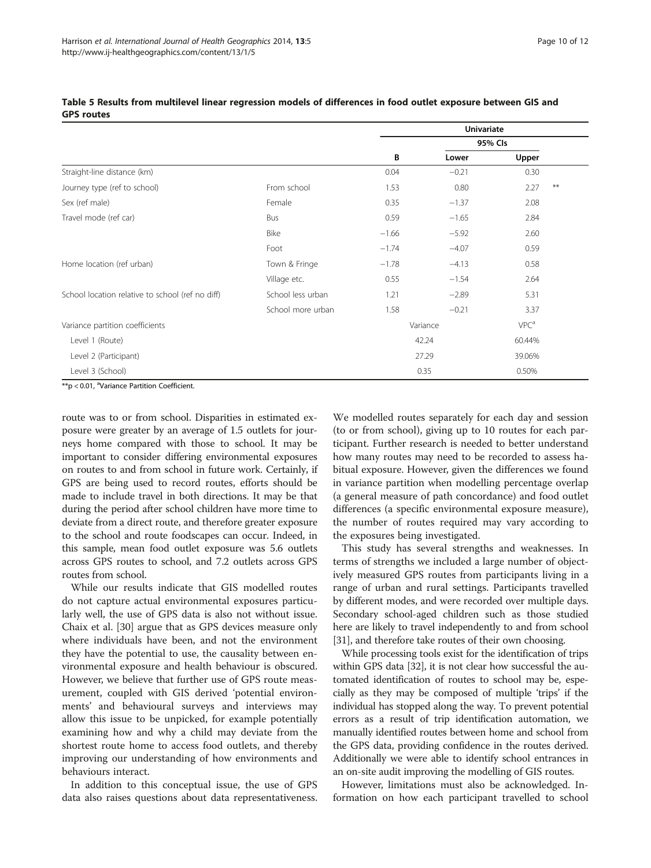|                                                  |                   | <b>Univariate</b> |          |                  |       |  |  |
|--------------------------------------------------|-------------------|-------------------|----------|------------------|-------|--|--|
|                                                  |                   |                   |          | 95% Cls          |       |  |  |
|                                                  |                   | В                 | Lower    | Upper            |       |  |  |
| Straight-line distance (km)                      |                   | 0.04              | $-0.21$  | 0.30             |       |  |  |
| Journey type (ref to school)                     | From school       | 1.53              | 0.80     | 2.27             | $***$ |  |  |
| Sex (ref male)                                   | Female            | 0.35              | $-1.37$  | 2.08             |       |  |  |
| Travel mode (ref car)                            | Bus               | 0.59              | $-1.65$  | 2.84             |       |  |  |
|                                                  | <b>Bike</b>       | $-1.66$           | $-5.92$  | 2.60             |       |  |  |
|                                                  | Foot              | $-1.74$           | $-4.07$  | 0.59             |       |  |  |
| Home location (ref urban)                        | Town & Fringe     | $-1.78$           | $-4.13$  | 0.58             |       |  |  |
|                                                  | Village etc.      | 0.55              | $-1.54$  | 2.64             |       |  |  |
| School location relative to school (ref no diff) | School less urban | 1.21              | $-2.89$  | 5.31             |       |  |  |
|                                                  | School more urban | 1.58              | $-0.21$  | 3.37             |       |  |  |
| Variance partition coefficients                  |                   |                   | Variance | VPC <sup>a</sup> |       |  |  |
| Level 1 (Route)                                  |                   |                   | 42.24    | 60.44%           |       |  |  |
| Level 2 (Participant)                            |                   |                   | 27.29    | 39.06%           |       |  |  |
| Level 3 (School)                                 |                   |                   | 0.35     | 0.50%            |       |  |  |

<span id="page-9-0"></span>Table 5 Results from multilevel linear regression models of differences in food outlet exposure between GIS and GPS routes

\*\*p < 0.01, <sup>a</sup>Variance Partition Coefficient.

route was to or from school. Disparities in estimated exposure were greater by an average of 1.5 outlets for journeys home compared with those to school. It may be important to consider differing environmental exposures on routes to and from school in future work. Certainly, if GPS are being used to record routes, efforts should be made to include travel in both directions. It may be that during the period after school children have more time to deviate from a direct route, and therefore greater exposure to the school and route foodscapes can occur. Indeed, in this sample, mean food outlet exposure was 5.6 outlets across GPS routes to school, and 7.2 outlets across GPS routes from school.

While our results indicate that GIS modelled routes do not capture actual environmental exposures particularly well, the use of GPS data is also not without issue. Chaix et al. [[30\]](#page-11-0) argue that as GPS devices measure only where individuals have been, and not the environment they have the potential to use, the causality between environmental exposure and health behaviour is obscured. However, we believe that further use of GPS route measurement, coupled with GIS derived 'potential environments' and behavioural surveys and interviews may allow this issue to be unpicked, for example potentially examining how and why a child may deviate from the shortest route home to access food outlets, and thereby improving our understanding of how environments and behaviours interact.

In addition to this conceptual issue, the use of GPS data also raises questions about data representativeness. We modelled routes separately for each day and session (to or from school), giving up to 10 routes for each participant. Further research is needed to better understand how many routes may need to be recorded to assess habitual exposure. However, given the differences we found in variance partition when modelling percentage overlap (a general measure of path concordance) and food outlet differences (a specific environmental exposure measure), the number of routes required may vary according to the exposures being investigated.

This study has several strengths and weaknesses. In terms of strengths we included a large number of objectively measured GPS routes from participants living in a range of urban and rural settings. Participants travelled by different modes, and were recorded over multiple days. Secondary school-aged children such as those studied here are likely to travel independently to and from school [[31](#page-11-0)], and therefore take routes of their own choosing.

While processing tools exist for the identification of trips within GPS data [[32](#page-11-0)], it is not clear how successful the automated identification of routes to school may be, especially as they may be composed of multiple 'trips' if the individual has stopped along the way. To prevent potential errors as a result of trip identification automation, we manually identified routes between home and school from the GPS data, providing confidence in the routes derived. Additionally we were able to identify school entrances in an on-site audit improving the modelling of GIS routes.

However, limitations must also be acknowledged. Information on how each participant travelled to school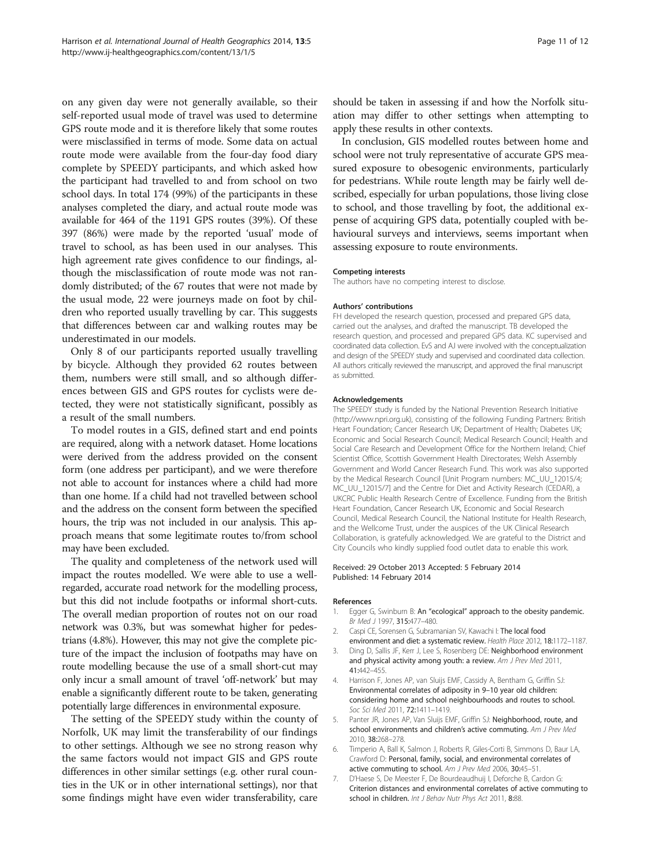<span id="page-10-0"></span>on any given day were not generally available, so their self-reported usual mode of travel was used to determine GPS route mode and it is therefore likely that some routes were misclassified in terms of mode. Some data on actual route mode were available from the four-day food diary complete by SPEEDY participants, and which asked how the participant had travelled to and from school on two school days. In total 174 (99%) of the participants in these analyses completed the diary, and actual route mode was available for 464 of the 1191 GPS routes (39%). Of these 397 (86%) were made by the reported 'usual' mode of travel to school, as has been used in our analyses. This high agreement rate gives confidence to our findings, although the misclassification of route mode was not randomly distributed; of the 67 routes that were not made by the usual mode, 22 were journeys made on foot by children who reported usually travelling by car. This suggests that differences between car and walking routes may be underestimated in our models.

Only 8 of our participants reported usually travelling by bicycle. Although they provided 62 routes between them, numbers were still small, and so although differences between GIS and GPS routes for cyclists were detected, they were not statistically significant, possibly as a result of the small numbers.

To model routes in a GIS, defined start and end points are required, along with a network dataset. Home locations were derived from the address provided on the consent form (one address per participant), and we were therefore not able to account for instances where a child had more than one home. If a child had not travelled between school and the address on the consent form between the specified hours, the trip was not included in our analysis. This approach means that some legitimate routes to/from school may have been excluded.

The quality and completeness of the network used will impact the routes modelled. We were able to use a wellregarded, accurate road network for the modelling process, but this did not include footpaths or informal short-cuts. The overall median proportion of routes not on our road network was 0.3%, but was somewhat higher for pedestrians (4.8%). However, this may not give the complete picture of the impact the inclusion of footpaths may have on route modelling because the use of a small short-cut may only incur a small amount of travel 'off-network' but may enable a significantly different route to be taken, generating potentially large differences in environmental exposure.

The setting of the SPEEDY study within the county of Norfolk, UK may limit the transferability of our findings to other settings. Although we see no strong reason why the same factors would not impact GIS and GPS route differences in other similar settings (e.g. other rural counties in the UK or in other international settings), nor that some findings might have even wider transferability, care should be taken in assessing if and how the Norfolk situation may differ to other settings when attempting to apply these results in other contexts.

In conclusion, GIS modelled routes between home and school were not truly representative of accurate GPS measured exposure to obesogenic environments, particularly for pedestrians. While route length may be fairly well described, especially for urban populations, those living close to school, and those travelling by foot, the additional expense of acquiring GPS data, potentially coupled with behavioural surveys and interviews, seems important when assessing exposure to route environments.

#### Competing interests

The authors have no competing interest to disclose.

#### Authors' contributions

FH developed the research question, processed and prepared GPS data, carried out the analyses, and drafted the manuscript. TB developed the research question, and processed and prepared GPS data. KC supervised and coordinated data collection. EvS and AJ were involved with the conceptualization and design of the SPEEDY study and supervised and coordinated data collection. All authors critically reviewed the manuscript, and approved the final manuscript as submitted.

#### Acknowledgements

The SPEEDY study is funded by the National Prevention Research Initiative ([http://www.npri.org.uk\)](http://www.npri.org.uk/), consisting of the following Funding Partners: British Heart Foundation; Cancer Research UK; Department of Health; Diabetes UK; Economic and Social Research Council; Medical Research Council; Health and Social Care Research and Development Office for the Northern Ireland; Chief Scientist Office, Scottish Government Health Directorates; Welsh Assembly Government and World Cancer Research Fund. This work was also supported by the Medical Research Council [Unit Program numbers: MC\_UU\_12015/4; MC\_UU\_12015/7] and the Centre for Diet and Activity Research (CEDAR), a UKCRC Public Health Research Centre of Excellence. Funding from the British Heart Foundation, Cancer Research UK, Economic and Social Research Council, Medical Research Council, the National Institute for Health Research, and the Wellcome Trust, under the auspices of the UK Clinical Research Collaboration, is gratefully acknowledged. We are grateful to the District and City Councils who kindly supplied food outlet data to enable this work.

#### Received: 29 October 2013 Accepted: 5 February 2014 Published: 14 February 2014

#### References

- Egger G, Swinburn B: An "ecological" approach to the obesity pandemic. Br Med J 1997, 315:477–480.
- 2. Caspi CE, Sorensen G, Subramanian SV, Kawachi I: The local food environment and diet: a systematic review. Health Place 2012, 18:1172-1187.
- 3. Ding D, Sallis JF, Kerr J, Lee S, Rosenberg DE: Neighborhood environment and physical activity among youth: a review. Am J Prev Med 2011, 41:442–455.
- 4. Harrison F, Jones AP, van Sluijs EMF, Cassidy A, Bentham G, Griffin SJ: Environmental correlates of adiposity in 9–10 year old children: considering home and school neighbourhoods and routes to school. Soc Sci Med 2011, 72:1411–1419.
- Panter JR, Jones AP, Van Sluijs EMF, Griffin SJ: Neighborhood, route, and school environments and children's active commuting. Am J Prev Med 2010, 38:268–278.
- 6. Timperio A, Ball K, Salmon J, Roberts R, Giles-Corti B, Simmons D, Baur LA, Crawford D: Personal, family, social, and environmental correlates of active commuting to school. Am J Prev Med 2006, 30:45-51.
- 7. D'Haese S, De Meester F, De Bourdeaudhuij I, Deforche B, Cardon G: Criterion distances and environmental correlates of active commuting to school in children. Int J Behav Nutr Phys Act 2011, 8:88.